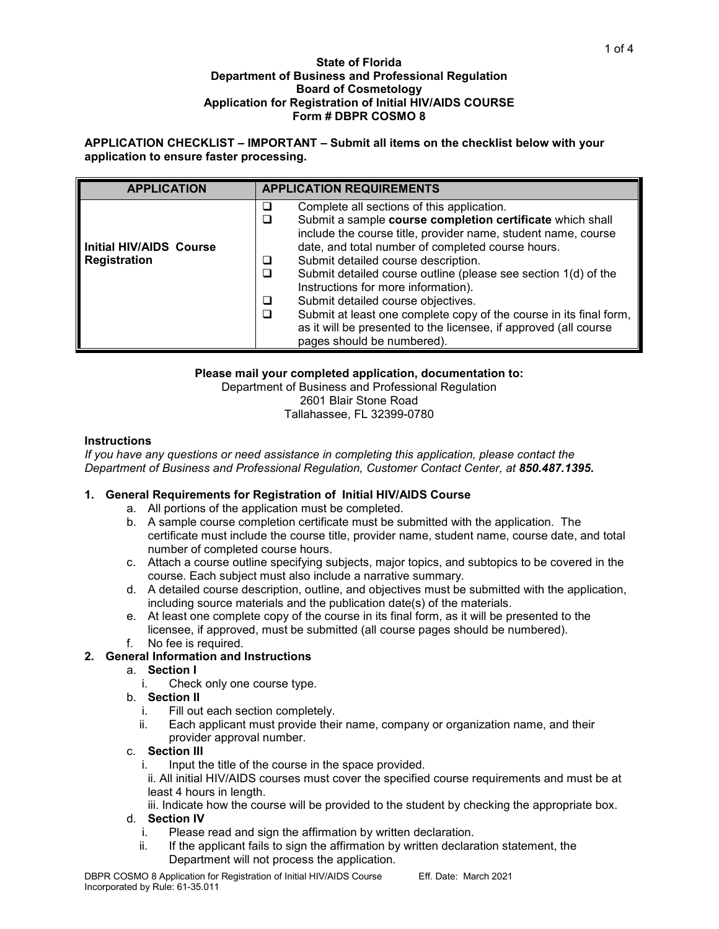#### **State of Florida Department of Business and Professional Regulation Board of Cosmetology Application for Registration of Initial HIV/AIDS COURSE Form # DBPR COSMO 8**

**APPLICATION CHECKLIST – IMPORTANT – Submit all items on the checklist below with your application to ensure faster processing.** 

| <b>APPLICATION</b>                                    | <b>APPLICATION REQUIREMENTS</b>                                                                                                                                                                                                                                                                                                                                                                                                                                                                                                                                                                                           |  |  |  |
|-------------------------------------------------------|---------------------------------------------------------------------------------------------------------------------------------------------------------------------------------------------------------------------------------------------------------------------------------------------------------------------------------------------------------------------------------------------------------------------------------------------------------------------------------------------------------------------------------------------------------------------------------------------------------------------------|--|--|--|
| <b>Initial HIV/AIDS Course</b><br><b>Registration</b> | Complete all sections of this application.<br>⊔<br>Submit a sample course completion certificate which shall<br>□<br>include the course title, provider name, student name, course<br>date, and total number of completed course hours.<br>Submit detailed course description.<br>❏<br>Submit detailed course outline (please see section 1(d) of the<br>□<br>Instructions for more information).<br>Submit detailed course objectives.<br>□<br>Submit at least one complete copy of the course in its final form,<br>□<br>as it will be presented to the licensee, if approved (all course<br>pages should be numbered). |  |  |  |

# **Please mail your completed application, documentation to:**

Department of Business and Professional Regulation 2601 Blair Stone Road Tallahassee, FL 32399-0780

# **Instructions**

*If you have any questions or need assistance in completing this application, please contact the Department of Business and Professional Regulation, Customer Contact Center, at 850.487.1395.*

# **1. General Requirements for Registration of Initial HIV/AIDS Course**

- a. All portions of the application must be completed.
- b. A sample course completion certificate must be submitted with the application. The certificate must include the course title, provider name, student name, course date, and total number of completed course hours.
- c. Attach a course outline specifying subjects, major topics, and subtopics to be covered in the course. Each subject must also include a narrative summary.
- d. A detailed course description, outline, and objectives must be submitted with the application, including source materials and the publication date(s) of the materials.
- e. At least one complete copy of the course in its final form, as it will be presented to the licensee, if approved, must be submitted (all course pages should be numbered). f. No fee is required.
- **2. General Information and Instructions**

# a. **Section I**

- i. Check only one course type.
- b. **Section II**
	- i. Fill out each section completely.
	- ii. Each applicant must provide their name, company or organization name, and their provider approval number.
- c. **Section III**
	- i. Input the title of the course in the space provided.

ii. All initial HIV/AIDS courses must cover the specified course requirements and must be at least 4 hours in length.

iii. Indicate how the course will be provided to the student by checking the appropriate box.

# d. **Section IV**

- i. Please read and sign the affirmation by written declaration.
- If the applicant fails to sign the affirmation by written declaration statement, the Department will not process the application.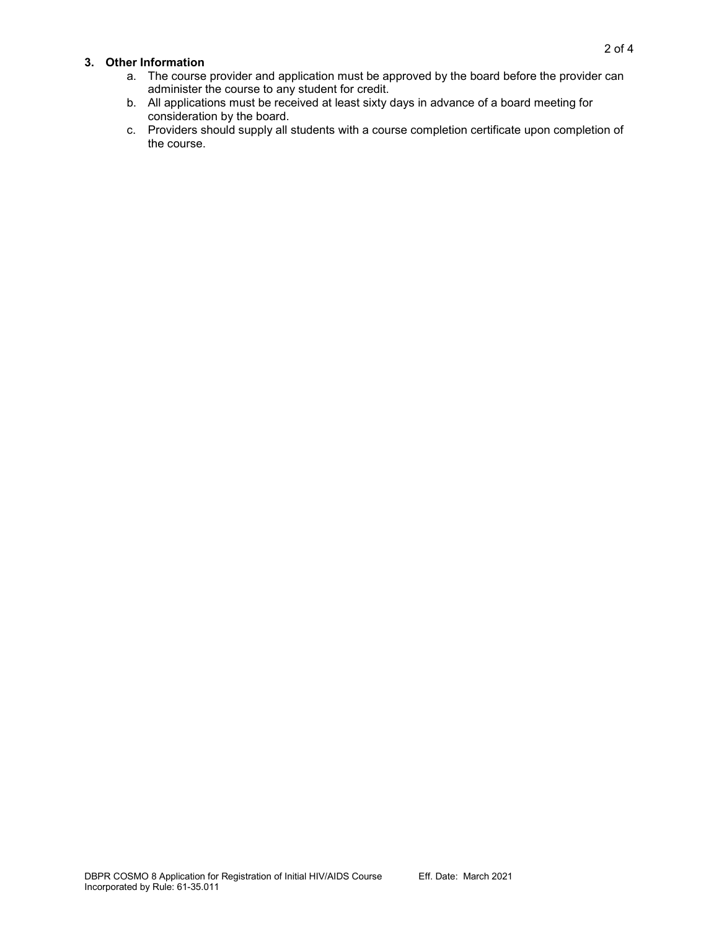### **3. Other Information**

- a. The course provider and application must be approved by the board before the provider can administer the course to any student for credit.
- b. All applications must be received at least sixty days in advance of a board meeting for consideration by the board.
- c. Providers should supply all students with a course completion certificate upon completion of the course.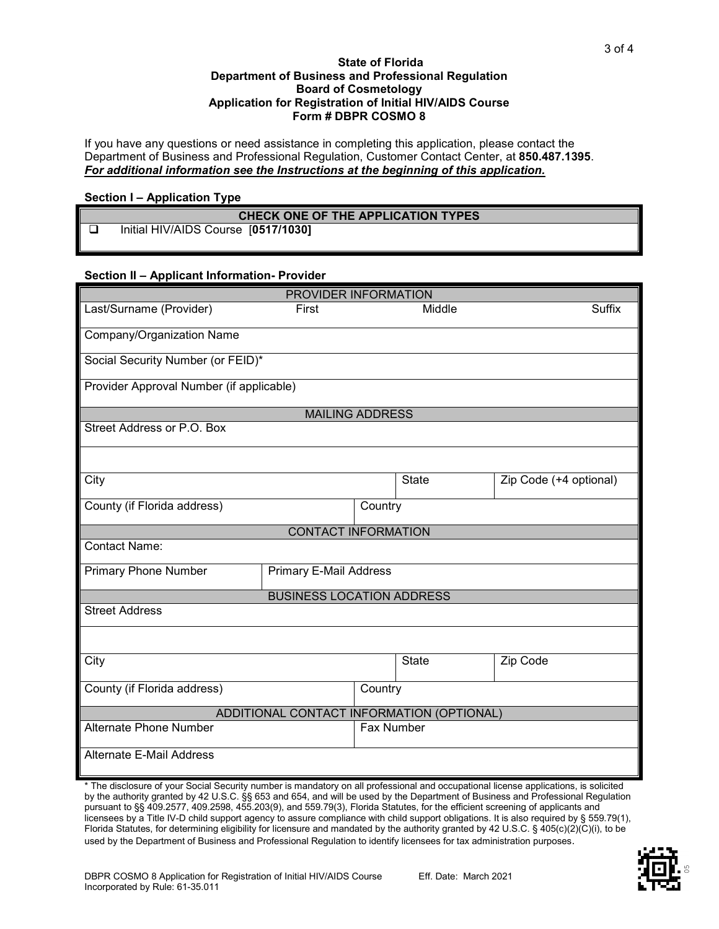#### **State of Florida Department of Business and Professional Regulation Board of Cosmetology Application for Registration of Initial HIV/AIDS Course Form # DBPR COSMO 8**

If you have any questions or need assistance in completing this application, please contact the Department of Business and Professional Regulation, Customer Contact Center, at **850.487.1395**. *For additional information see the Instructions at the beginning of this application.*

### **Section I – Application Type**

# **CHECK ONE OF THE APPLICATION TYPES** Initial HIV/AIDS Course [**0517/1030]**

### **Section II – Applicant Information- Provider**

| PROVIDER INFORMATION                      |                               |         |              |                        |  |  |
|-------------------------------------------|-------------------------------|---------|--------------|------------------------|--|--|
| Last/Surname (Provider)                   | First                         |         | Middle       | Suffix                 |  |  |
| Company/Organization Name                 |                               |         |              |                        |  |  |
|                                           |                               |         |              |                        |  |  |
| Social Security Number (or FEID)*         |                               |         |              |                        |  |  |
|                                           |                               |         |              |                        |  |  |
| Provider Approval Number (if applicable)  |                               |         |              |                        |  |  |
| <b>MAILING ADDRESS</b>                    |                               |         |              |                        |  |  |
| Street Address or P.O. Box                |                               |         |              |                        |  |  |
|                                           |                               |         |              |                        |  |  |
| City                                      |                               |         | <b>State</b> | Zip Code (+4 optional) |  |  |
| County (if Florida address)               |                               | Country |              |                        |  |  |
|                                           | <b>CONTACT INFORMATION</b>    |         |              |                        |  |  |
| <b>Contact Name:</b>                      |                               |         |              |                        |  |  |
| <b>Primary Phone Number</b>               | <b>Primary E-Mail Address</b> |         |              |                        |  |  |
| <b>BUSINESS LOCATION ADDRESS</b>          |                               |         |              |                        |  |  |
| <b>Street Address</b>                     |                               |         |              |                        |  |  |
|                                           |                               |         |              |                        |  |  |
| City                                      |                               |         | <b>State</b> | Zip Code               |  |  |
| County (if Florida address)               |                               | Country |              |                        |  |  |
| ADDITIONAL CONTACT INFORMATION (OPTIONAL) |                               |         |              |                        |  |  |
| <b>Alternate Phone Number</b>             |                               |         | Fax Number   |                        |  |  |
| Alternate E-Mail Address                  |                               |         |              |                        |  |  |

\* The disclosure of your Social Security number is mandatory on all professional and occupational license applications, is solicited by the authority granted by 42 U.S.C. §§ 653 and 654, and will be used by the Department of Business and Professional Regulation pursuant to §§ 409.2577, 409.2598, 455.203(9), and 559.79(3), Florida Statutes, for the efficient screening of applicants and licensees by a Title IV-D child support agency to assure compliance with child support obligations. It is also required by § 559.79(1), Florida Statutes, for determining eligibility for licensure and mandated by the authority granted by 42 U.S.C. § 405(c)(2)(C)(i), to be used by the Department of Business and Professional Regulation to identify licensees for tax administration purposes.

3 of 4